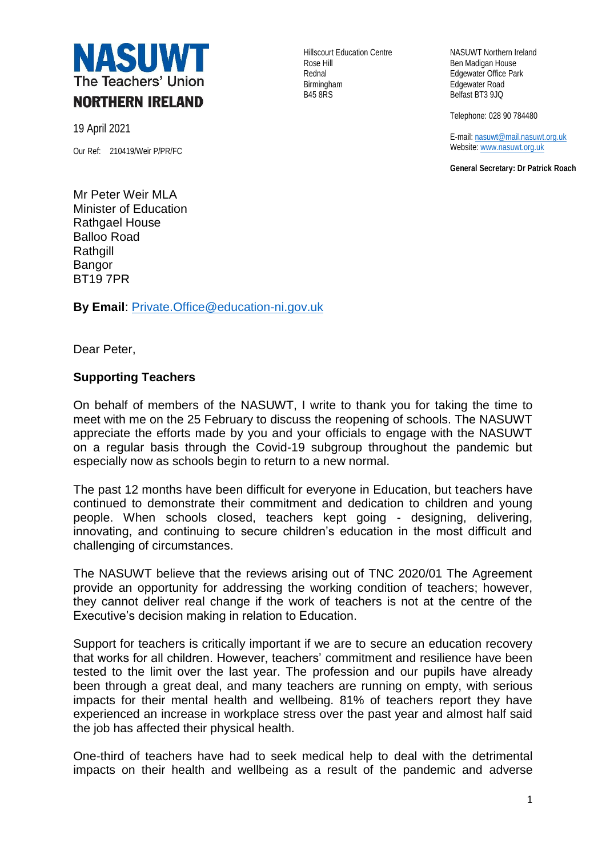

19 April 2021

Our Ref: 210419/Weir P/PR/FC

Rose Hill **Ben Madigan House** Rednal **Edgewater Office Park** Birmingham **Edgewater Road**<br>B45 8RS Belfast BT3 9JQ

Hillscourt Education Centre NASUWT Northern Ireland Belfast BT3 9JQ

Telephone: 028 90 784480

E-mail[: nasuwt@mail.nasuwt.org.uk](mailto:nasuwt@mail.nasuwt.org.uk) Website[: www.nasuwt.org.uk](http://www.nasuwt.org.uk/)

**General Secretary: Dr Patrick Roach**

Mr Peter Weir MLA Minister of Education Rathgael House Balloo Road **Rathgill** Bangor BT19 7PR

**By Email**: [Private.Office@education-ni.gov.uk](mailto:Private.Office@education-ni.gov.uk)

Dear Peter,

## **Supporting Teachers**

On behalf of members of the NASUWT, I write to thank you for taking the time to meet with me on the 25 February to discuss the reopening of schools. The NASUWT appreciate the efforts made by you and your officials to engage with the NASUWT on a regular basis through the Covid-19 subgroup throughout the pandemic but especially now as schools begin to return to a new normal.

The past 12 months have been difficult for everyone in Education, but teachers have continued to demonstrate their commitment and dedication to children and young people. When schools closed, teachers kept going - designing, delivering, innovating, and continuing to secure children's education in the most difficult and challenging of circumstances.

The NASUWT believe that the reviews arising out of TNC 2020/01 The Agreement provide an opportunity for addressing the working condition of teachers; however, they cannot deliver real change if the work of teachers is not at the centre of the Executive's decision making in relation to Education.

Support for teachers is critically important if we are to secure an education recovery that works for all children. However, teachers' commitment and resilience have been tested to the limit over the last year. The profession and our pupils have already been through a great deal, and many teachers are running on empty, with serious impacts for their mental health and wellbeing. 81% of teachers report they have experienced an increase in workplace stress over the past year and almost half said the job has affected their physical health.

One-third of teachers have had to seek medical help to deal with the detrimental impacts on their health and wellbeing as a result of the pandemic and adverse